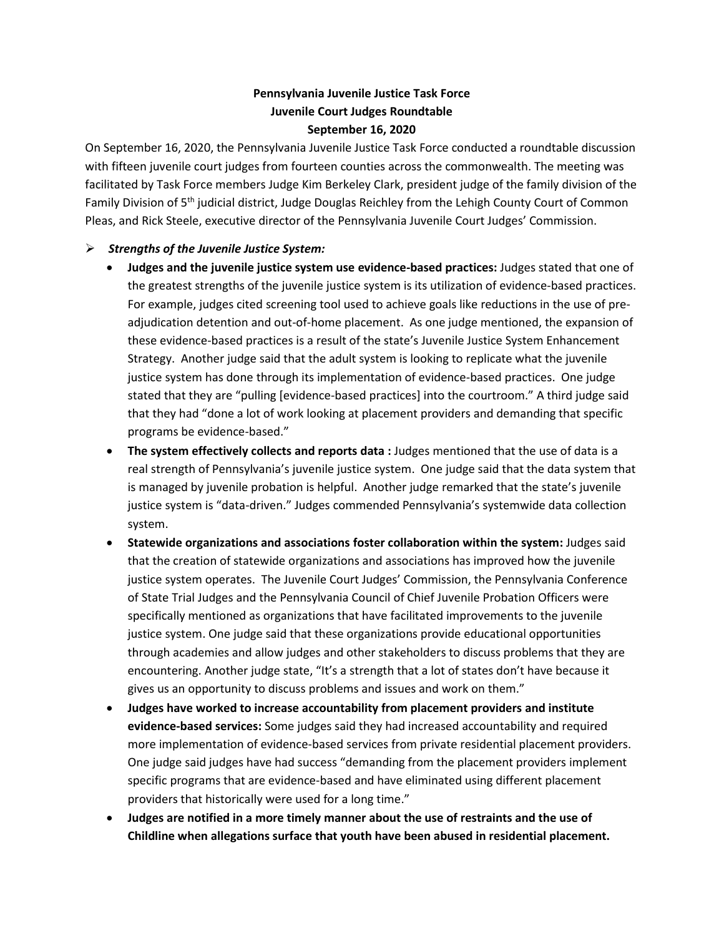## **Pennsylvania Juvenile Justice Task Force Juvenile Court Judges Roundtable September 16, 2020**

On September 16, 2020, the Pennsylvania Juvenile Justice Task Force conducted a roundtable discussion with fifteen juvenile court judges from fourteen counties across the commonwealth. The meeting was facilitated by Task Force members Judge Kim Berkeley Clark, president judge of the family division of the Family Division of 5th judicial district, Judge Douglas Reichley from the Lehigh County Court of Common Pleas, and Rick Steele, executive director of the Pennsylvania Juvenile Court Judges' Commission.

## ➢ *Strengths of the Juvenile Justice System:*

- **Judges and the juvenile justice system use evidence-based practices:** Judges stated that one of the greatest strengths of the juvenile justice system is its utilization of evidence-based practices. For example, judges cited screening tool used to achieve goals like reductions in the use of preadjudication detention and out-of-home placement. As one judge mentioned, the expansion of these evidence-based practices is a result of the state's Juvenile Justice System Enhancement Strategy. Another judge said that the adult system is looking to replicate what the juvenile justice system has done through its implementation of evidence-based practices. One judge stated that they are "pulling [evidence-based practices] into the courtroom." A third judge said that they had "done a lot of work looking at placement providers and demanding that specific programs be evidence-based."
- **The system effectively collects and reports data :** Judges mentioned that the use of data is a real strength of Pennsylvania's juvenile justice system. One judge said that the data system that is managed by juvenile probation is helpful. Another judge remarked that the state's juvenile justice system is "data-driven." Judges commended Pennsylvania's systemwide data collection system.
- **Statewide organizations and associations foster collaboration within the system:** Judges said that the creation of statewide organizations and associations has improved how the juvenile justice system operates. The Juvenile Court Judges' Commission, the Pennsylvania Conference of State Trial Judges and the Pennsylvania Council of Chief Juvenile Probation Officers were specifically mentioned as organizations that have facilitated improvements to the juvenile justice system. One judge said that these organizations provide educational opportunities through academies and allow judges and other stakeholders to discuss problems that they are encountering. Another judge state, "It's a strength that a lot of states don't have because it gives us an opportunity to discuss problems and issues and work on them."
- **Judges have worked to increase accountability from placement providers and institute evidence-based services:** Some judges said they had increased accountability and required more implementation of evidence-based services from private residential placement providers. One judge said judges have had success "demanding from the placement providers implement specific programs that are evidence-based and have eliminated using different placement providers that historically were used for a long time."
- **Judges are notified in a more timely manner about the use of restraints and the use of Childline when allegations surface that youth have been abused in residential placement.**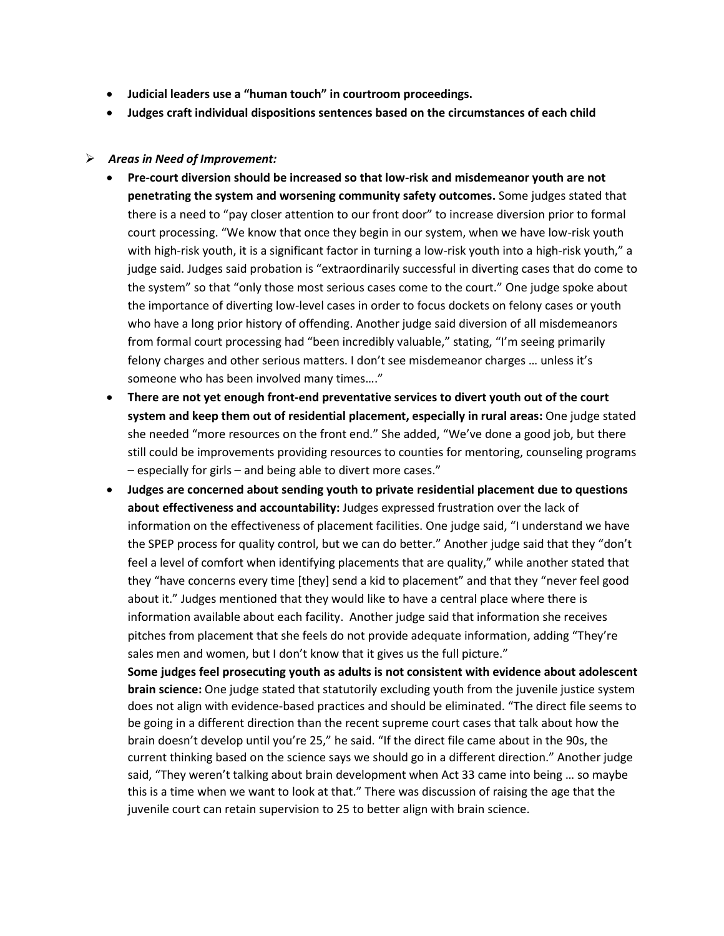- **Judicial leaders use a "human touch" in courtroom proceedings.**
- **Judges craft individual dispositions sentences based on the circumstances of each child**

## ➢ *Areas in Need of Improvement:*

- **Pre-court diversion should be increased so that low-risk and misdemeanor youth are not penetrating the system and worsening community safety outcomes.** Some judges stated that there is a need to "pay closer attention to our front door" to increase diversion prior to formal court processing. "We know that once they begin in our system, when we have low-risk youth with high-risk youth, it is a significant factor in turning a low-risk youth into a high-risk youth," a judge said. Judges said probation is "extraordinarily successful in diverting cases that do come to the system" so that "only those most serious cases come to the court." One judge spoke about the importance of diverting low-level cases in order to focus dockets on felony cases or youth who have a long prior history of offending. Another judge said diversion of all misdemeanors from formal court processing had "been incredibly valuable," stating, "I'm seeing primarily felony charges and other serious matters. I don't see misdemeanor charges … unless it's someone who has been involved many times…."
- **There are not yet enough front-end preventative services to divert youth out of the court system and keep them out of residential placement, especially in rural areas:** One judge stated she needed "more resources on the front end." She added, "We've done a good job, but there still could be improvements providing resources to counties for mentoring, counseling programs – especially for girls – and being able to divert more cases."
- **Judges are concerned about sending youth to private residential placement due to questions about effectiveness and accountability:** Judges expressed frustration over the lack of information on the effectiveness of placement facilities. One judge said, "I understand we have the SPEP process for quality control, but we can do better." Another judge said that they "don't feel a level of comfort when identifying placements that are quality," while another stated that they "have concerns every time [they] send a kid to placement" and that they "never feel good about it." Judges mentioned that they would like to have a central place where there is information available about each facility. Another judge said that information she receives pitches from placement that she feels do not provide adequate information, adding "They're sales men and women, but I don't know that it gives us the full picture."

**Some judges feel prosecuting youth as adults is not consistent with evidence about adolescent brain science:** One judge stated that statutorily excluding youth from the juvenile justice system does not align with evidence-based practices and should be eliminated. "The direct file seems to be going in a different direction than the recent supreme court cases that talk about how the brain doesn't develop until you're 25," he said. "If the direct file came about in the 90s, the current thinking based on the science says we should go in a different direction." Another judge said, "They weren't talking about brain development when Act 33 came into being … so maybe this is a time when we want to look at that." There was discussion of raising the age that the juvenile court can retain supervision to 25 to better align with brain science.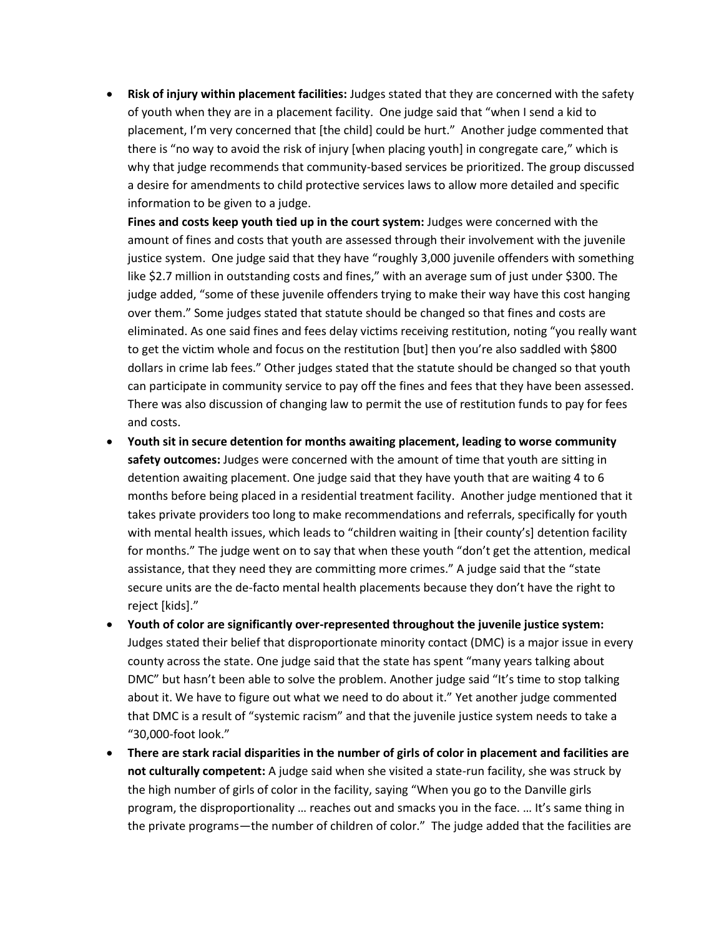• **Risk of injury within placement facilities:** Judges stated that they are concerned with the safety of youth when they are in a placement facility. One judge said that "when I send a kid to placement, I'm very concerned that [the child] could be hurt." Another judge commented that there is "no way to avoid the risk of injury [when placing youth] in congregate care," which is why that judge recommends that community-based services be prioritized. The group discussed a desire for amendments to child protective services laws to allow more detailed and specific information to be given to a judge.

**Fines and costs keep youth tied up in the court system:** Judges were concerned with the amount of fines and costs that youth are assessed through their involvement with the juvenile justice system. One judge said that they have "roughly 3,000 juvenile offenders with something like \$2.7 million in outstanding costs and fines," with an average sum of just under \$300. The judge added, "some of these juvenile offenders trying to make their way have this cost hanging over them." Some judges stated that statute should be changed so that fines and costs are eliminated. As one said fines and fees delay victims receiving restitution, noting "you really want to get the victim whole and focus on the restitution [but] then you're also saddled with \$800 dollars in crime lab fees." Other judges stated that the statute should be changed so that youth can participate in community service to pay off the fines and fees that they have been assessed. There was also discussion of changing law to permit the use of restitution funds to pay for fees and costs.

- **Youth sit in secure detention for months awaiting placement, leading to worse community safety outcomes:** Judges were concerned with the amount of time that youth are sitting in detention awaiting placement. One judge said that they have youth that are waiting 4 to 6 months before being placed in a residential treatment facility. Another judge mentioned that it takes private providers too long to make recommendations and referrals, specifically for youth with mental health issues, which leads to "children waiting in [their county's] detention facility for months." The judge went on to say that when these youth "don't get the attention, medical assistance, that they need they are committing more crimes." A judge said that the "state secure units are the de-facto mental health placements because they don't have the right to reject [kids]."
- **Youth of color are significantly over-represented throughout the juvenile justice system:** Judges stated their belief that disproportionate minority contact (DMC) is a major issue in every county across the state. One judge said that the state has spent "many years talking about DMC" but hasn't been able to solve the problem. Another judge said "It's time to stop talking about it. We have to figure out what we need to do about it." Yet another judge commented that DMC is a result of "systemic racism" and that the juvenile justice system needs to take a "30,000-foot look."
- **There are stark racial disparities in the number of girls of color in placement and facilities are not culturally competent:** A judge said when she visited a state-run facility, she was struck by the high number of girls of color in the facility, saying "When you go to the Danville girls program, the disproportionality … reaches out and smacks you in the face. … It's same thing in the private programs—the number of children of color." The judge added that the facilities are